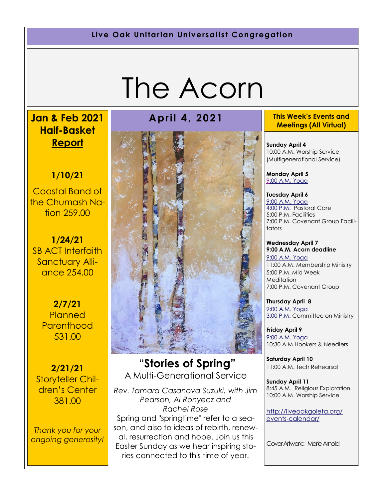**Live Oak Unitarian Universalist Congregation**

# The Acorn

**Jan & Feb 2021 Half-Basket Report** 

Coastal Band of the Chumash Nation 259.00

**1/10/21** 

**1/24/21**  SB ACT Interfaith Sanctuary Alliance 254.00

> **2/7/21 Planned Parenthood** 531.00

**2/21/21**  Storyteller Children's Center 381.00

*Thank you for your ongoing generosity!*



"**Stories of Spring"** A Multi-Generational Service

*Rev. Tamara Casanova Suzuki, with Jim Pearson, Al Ronyecz and Rachel Rose*  Spring and "springtime" refer to a season, and also to ideas of rebirth, renewal, resurrection and hope. Join us this Easter Sunday as we hear inspiring stories connected to this time of year.

#### **April 4, 2021 This Week's Events and Meetings (All Virtual)**

**Sunday April 4** 10:00 A.M. Worship Service (Multigenerational Service)

**Monday April 5** [9:](https://us02web.zoom.us/meeting/register/tZ0pc-6qrTwqH9WUfmrB_nZu0MWqJ8CyS3Uw)[00 A.M. Yoga](https://us02web.zoom.us/j/86278199291?pwd=WUh1MFJyVXNVOTIyQ1NmanJoSmNXQT09)

**Tuesday April 6** [9:00 A.M. Yoga](https://us02web.zoom.us/meeting/register/tZ0pc-6qrTwqH9WUfmrB_nZu0MWqJ8CyS3Uw) [4:00 P.M. Pa](https://us02web.zoom.us/meeting/register/tZ0pc-6qrTwqH9WUfmrB_nZu0MWqJ8CyS3Uw)storal Care 5:00 P.M. Facilities 7:00 P.M. Covenant Group Facilitators

**Wednesday April 7 9:00 A.M. Acorn deadline** [9:00 A.M. Yoga](https://us02web.zoom.us/meeting/register/tZ0pc-6qrTwqH9WUfmrB_nZu0MWqJ8CyS3Uw)  11:00 A.M. Membership Ministry 5:00 P.M. Mid Week **Meditation** 7:00 P.M. Covenant Group

**Thursday April 8** [9:00 A.M. Yoga](https://us02web.zoom.us/meeting/register/tZ0pc-6qrTwqH9WUfmrB_nZu0MWqJ8CyS3Uw)  [3:00 P.M. C](https://us02web.zoom.us/meeting/register/tZ0pc-6qrTwqH9WUfmrB_nZu0MWqJ8CyS3Uw)ommittee on Ministry

**Friday April 9** [9:00 A.M. Yoga](https://us02web.zoom.us/meeting/register/tZ0pc-6qrTwqH9WUfmrB_nZu0MWqJ8CyS3Uw)  10:30 A.M Hookers & Needlers

**Saturday April 10** 11:00 A.M. Tech Rehearsal

**Sunday April 11** 8:45 A.M. Religious Exploration 10:00 A.M. Worship Service

[http://liveoakgoleta.org/](http://liveoakgoleta.org/events-calendar/) [events-calendar/](http://liveoakgoleta.org/events-calendar/)

Cover Artwork:: Marie Arnold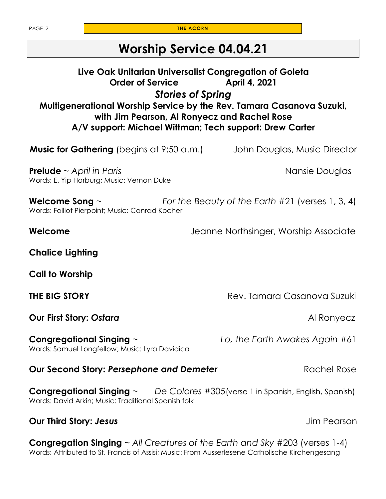PAGE 2 **THE ACORN** 

### **Worship Service 04.04.21**

### **Live Oak Unitarian Universalist Congregation of Goleta Order of Service April 4, 2021** *Stories of Spring*  **Multigenerational Worship Service by the Rev. Tamara Casanova Suzuki, with Jim Pearson, Al Ronyecz and Rachel Rose A/V support: Michael Wittman; Tech support: Drew Carter**

**Music for Gathering** (begins at 9:50 a.m.) John Douglas, Music Director

**Prelude** ~ *April in Paris* **Nansie Douglas Nansie Douglas** Words: E. Yip Harburg; Music: Vernon Duke

**Welcome Song** ~ *For the Beauty of the Earth* #21 (verses 1, 3, 4) Words: Folliot Pierpoint; Music: Conrad Kocher

**Welcome** Jeanne Northsinger, Worship Associate

**Chalice Lighting** 

**Call to Worship** 

**THE BIG STORY Rev. Tamara Casanova Suzuki** 

**Our First Story: Ostara Al Ronyecz** 

**Congregational Singing** ~ *Lo, the Earth Awakes Again* #61 Words: Samuel Longfellow; Music: Lyra Davidica

#### **Our Second Story: Persephone and Demeter <b>Example 20 Figure 2016** Rachel Rose

**Congregational Singing** ~ *De Colores* #305(verse 1 in Spanish, English, Spanish) Words: David Arkin; Music: Traditional Spanish folk

#### **Our Third Story: Jesus** *Jim Pearson*

**Congregation Singing** ~ *All Creatures of the Earth and Sky* #203 (verses 1-4) Words: Attributed to St. Francis of Assisi; Music: From Ausserlesene Catholische Kirchengesang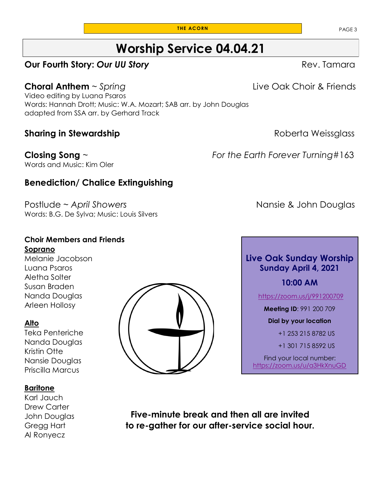### **Worship Service 04.04.21**

#### **Our Fourth Story: Our UU Story And Accord Rev. Tamara** Rev. Tamara

Video editing by Luana Psaros Words: Hannah Drott; Music: W.A. Mozart; SAB arr. by John Douglas adapted from SSA arr. by Gerhard Track

#### **Sharing in Stewardship** *Sharing* Roberta Weissglass

#### **Closing Song** ~ *For the Earth Forever Turning*#163

Words and Music: Kim Oler

#### **Benediction/ Chalice Extinguishing**

Postlude ~ *April Showers* 2008 2009 2012 2022 2023 2024 2022 2023 2024 2022 2023 Words: B.G. De Sylva; Music: Louis Silvers

#### **Choir Members and Friends**

#### **Soprano**

Melanie Jacobson Luana Psaros Aletha Solter Susan Braden Nanda Douglas Arleen Hollosy

#### **Alto**

Teka Penteriche Nanda Douglas Kristin Otte Nansie Douglas Priscilla Marcus

#### **Baritone**

Karl Jauch Drew Carter John Douglas Gregg Hart Al Ronyecz

**Five-minute break and then all are invited to re-gather for our after-service social hour.**





#### **Live Oak Sunday Worship Sunday April 4, 2021**

#### **10:00 AM**

<https://zoom.us/j/991200709>

**Meeting ID**: 991 200 709

**Dial by your location** 

+1 253 215 8782 US

+1 301 715 8592 US

Find your local number: <https://zoom.us/u/a3HkXnuGD>

**THE ACORN** PAGE 3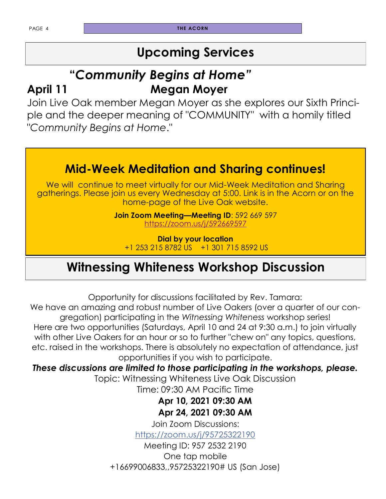PAGE 4 **THE ACORN** 

### **Upcoming Services**

### **"***Community Begins at Home"* **April 11 Megan Moyer**

Join Live Oak member Megan Moyer as she explores our Sixth Principle and the deeper meaning of "COMMUNITY" with a homily titled "*Community Begins at Home*."

### **Mid-Week Meditation and Sharing continues!**

We will continue to meet virtually for our Mid-Week Meditation and Sharing gatherings. Please join us every Wednesday at 5:00. Link is in the Acorn or on the home-page of the Live Oak website.

> **Join Zoom Meeting—Meeting ID**: 592 669 597 <https://zoom.us/j/592669597>

**Dial by your location** +1 253 215 8782 US +1 301 715 8592 US

### **Witnessing Whiteness Workshop Discussion**

Opportunity for discussions facilitated by Rev. Tamara:

We have an amazing and robust number of Live Oakers (over a quarter of our congregation) participating in the *Witnessing Whiteness* workshop series! Here are two opportunities (Saturdays, April 10 and 24 at 9:30 a.m.) to join virtually with other Live Oakers for an hour or so to further "chew on" any topics, questions, etc. raised in the workshops. There is absolutely no expectation of attendance, just opportunities if you wish to participate.

### *These discussions are limited to those participating in the workshops, please.*

Topic: Witnessing Whiteness Live Oak Discussion

Time: 09:30 AM Pacific Time

 **Apr 10, 2021 09:30 AM Apr 24, 2021 09:30 AM**

Join Zoom Discussions:

<https://zoom.us/j/95725322190>

Meeting ID: 957 2532 2190 One tap mobile +16699006833,,95725322190# US (San Jose)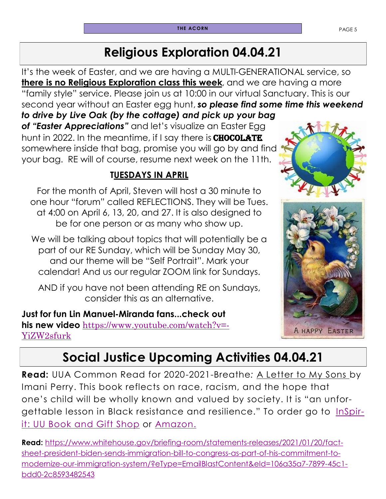### **Religious Exploration 04.04.21**

It's the week of Easter, and we are having a MULTI-GENERATIONAL service, so **there is no Religious Exploration class this week**, and we are having a more "family style" service. Please join us at 10:00 in our virtual Sanctuary. This is our second year without an Easter egg hunt, *so please find some time this weekend to drive by Live Oak (by the cottage) and pick up your bag of "Easter Appreciations"* and let's visualize an Easter Egg

hunt in 2022. In the meantime, if I say there is **CHOCOLATE** somewhere inside that bag, promise you will go by and find your bag. RE will of course, resume next week on the 11th.

### **TUESDAYS IN APRIL**

For the month of April, Steven will host a 30 minute to one hour "forum" called REFLECTIONS. They will be Tues. at 4:00 on April 6, 13, 20, and 27. It is also designed to be for one person or as many who show up.

We will be talking about topics that will potentially be a part of our RE Sunday, which will be Sunday May 30, and our theme will be "Self Portrait". Mark your calendar! And us our regular ZOOM link for Sundays.

AND if you have not been attending RE on Sundays, consider this as an alternative.

**Just for fun Lin Manuel-Miranda fans...check out his new video** [https://www.youtube.com/watch?v=-](https://www.youtube.com/watch?v=-YiZW2sfurk) [YiZW2sfurk](https://www.youtube.com/watch?v=-YiZW2sfurk)

### **Social Justice Upcoming Activities 04.04.21**

**Read:** UUA Common Read for 2020-2021-Breathe*:* A Letter to My Sons by Imani Perry. This book reflects on race, racism, and the hope that one's child will be wholly known and valued by society. It is "an unfor-gettable lesson in Black resistance and resilience." To order go to [InSpir](https://www.uuabookstore.org/)[it: UU Book and Gift Shop](https://www.uuabookstore.org/) or [Amazon.](https://smile.amazon.com/gp/chpf/homepage/ref=smi_chpf_redirect/136-5227691-0877711?ie=UTF8&%2AVersion%2A=1&%2Aentries%2A=0)

**Read:** [https://www.whitehouse.gov/briefing-room/statements-releases/2021/01/20/fact](https://www.whitehouse.gov/briefing-room/statements-releases/2021/01/20/fact-sheet-president-biden-sends-immigration-bill-to-congress-as-part-of-his-commitment-to-modernize-our-immigration-system/?eType=EmailBlastContent&eId=106a35a7-7899-45c1-bdd0-2c85934)[sheet-president-biden-sends-immigration-bill-to-congress-as-part-of-his-commitment-to](https://www.whitehouse.gov/briefing-room/statements-releases/2021/01/20/fact-sheet-president-biden-sends-immigration-bill-to-congress-as-part-of-his-commitment-to-modernize-our-immigration-system/?eType=EmailBlastContent&eId=106a35a7-7899-45c1-bdd0-2c85934)[modernize-our-immigration-system/?eType=EmailBlastContent&eId=106a35a7-7899-45c1](https://www.whitehouse.gov/briefing-room/statements-releases/2021/01/20/fact-sheet-president-biden-sends-immigration-bill-to-congress-as-part-of-his-commitment-to-modernize-our-immigration-system/?eType=EmailBlastContent&eId=106a35a7-7899-45c1-bdd0-2c85934) [bdd0-2c8593482543](https://www.whitehouse.gov/briefing-room/statements-releases/2021/01/20/fact-sheet-president-biden-sends-immigration-bill-to-congress-as-part-of-his-commitment-to-modernize-our-immigration-system/?eType=EmailBlastContent&eId=106a35a7-7899-45c1-bdd0-2c85934)

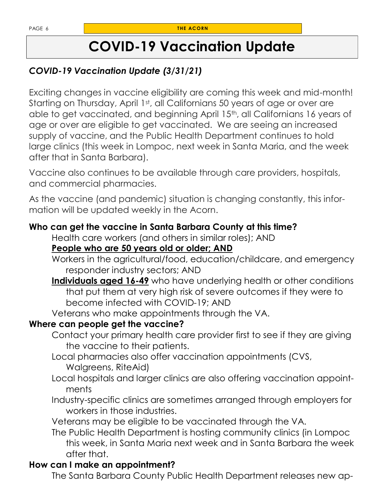### **COVID-19 Vaccination Update**

### *COVID-19 Vaccination Update (3/31/21)*

Exciting changes in vaccine eligibility are coming this week and mid-month! Starting on Thursday, April 1st, all Californians 50 years of age or over are able to get vaccinated, and beginning April 15th, all Californians 16 years of age or over are eligible to get vaccinated. We are seeing an increased supply of vaccine, and the Public Health Department continues to hold large clinics (this week in Lompoc, next week in Santa Maria, and the week after that in Santa Barbara).

Vaccine also continues to be available through care providers, hospitals, and commercial pharmacies.

As the vaccine (and pandemic) situation is changing constantly, this information will be updated weekly in the Acorn.

#### **Who can get the vaccine in Santa Barbara County at this time?**

Health care workers (and others in similar roles); AND

#### **People who are 50 years old or older; AND**

Workers in the agricultural/food, education/childcare, and emergency responder industry sectors; AND

**Individuals aged 16-49** who have underlying health or other conditions that put them at very high risk of severe outcomes if they were to become infected with COVID-19; AND

Veterans who make appointments through the VA.

### **Where can people get the vaccine?**

- Contact your primary health care provider first to see if they are giving the vaccine to their patients.
- Local pharmacies also offer vaccination appointments (CVS, Walgreens, RiteAid)
- Local hospitals and larger clinics are also offering vaccination appointments
- Industry-specific clinics are sometimes arranged through employers for workers in those industries.

Veterans may be eligible to be vaccinated through the VA.

The Public Health Department is hosting community clinics (in Lompoc this week, in Santa Maria next week and in Santa Barbara the week after that.

### **How can I make an appointment?**

The Santa Barbara County Public Health Department releases new ap-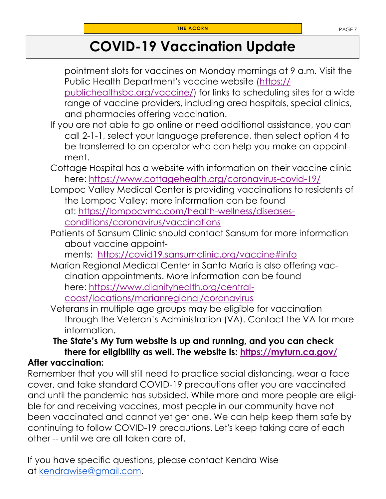# **COVID-19 Vaccination Update**

pointment slots for vaccines on Monday mornings at 9 a.m. Visit the Public Health Department's vaccine website ([https://](https://publichealthsbc.org/vaccine/)

[publichealthsbc.org/vaccine/\)](https://publichealthsbc.org/vaccine/) for links to scheduling sites for a wide range of vaccine providers, including area hospitals, special clinics, and pharmacies offering vaccination.

- If you are not able to go online or need additional assistance, you can call 2-1-1, select your language preference, then select option 4 to be transferred to an operator who can help you make an appointment.
- Cottage Hospital has a website with information on their vaccine clinic here: <https://www.cottagehealth.org/coronavirus-covid-19/>
- Lompoc Valley Medical Center is providing vaccinations to residents of the Lompoc Valley; more information can be found at: [https://lompocvmc.com/health-wellness/diseases](https://lompocvmc.com/health-wellness/diseases-conditions/coronavirus/vaccinations)[conditions/coronavirus/vaccinations](https://lompocvmc.com/health-wellness/diseases-conditions/coronavirus/vaccinations)
- Patients of Sansum Clinic should contact Sansum for more information about vaccine appoint-

ments: <https://covid19.sansumclinic.org/vaccine#info>

- Marian Regional Medical Center in Santa Maria is also offering vaccination appointments. More information can be found here: [https://www.dignityhealth.org/central](https://www.dignityhealth.org/central-coast/locations/marianregional/coronavirus)[coast/locations/marianregional/coronavirus](https://www.dignityhealth.org/central-coast/locations/marianregional/coronavirus)
- Veterans in multiple age groups may be eligible for vaccination through the Veteran's Administration (VA). Contact the VA for more information.

### **The State's My Turn website is up and running, and you can check there for eligibility as well. The website is: <https://myturn.ca.gov/>**

### **After vaccination:**

Remember that you will still need to practice social distancing, wear a face cover, and take standard COVID-19 precautions after you are vaccinated and until the pandemic has subsided. While more and more people are eligible for and receiving vaccines, most people in our community have not been vaccinated and cannot yet get one. We can help keep them safe by continuing to follow COVID-19 precautions. Let's keep taking care of each other -- until we are all taken care of.

If you have specific questions, please contact Kendra Wise at [kendrawise@gmail.com.](mailto:kendrawise@gmail.com)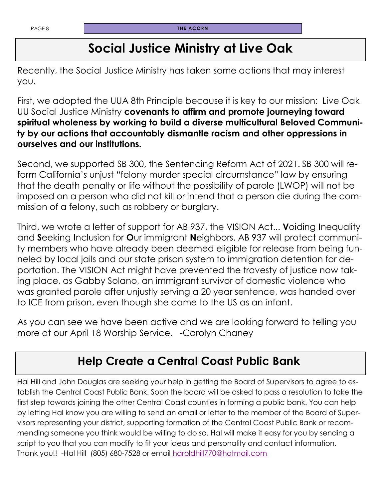### **Social Justice Ministry at Live Oak**

Recently, the Social Justice Ministry has taken some actions that may interest you.

First, we adopted the UUA 8th Principle because it is key to our mission: Live Oak UU Social Justice Ministry **covenants to affirm and promote journeying toward spiritual wholeness by working to build a diverse multicultural Beloved Community by our actions that accountably dismantle racism and other oppressions in ourselves and our institutions.**

Second, we supported SB 300, the Sentencing Reform Act of 2021. SB 300 will reform California's unjust "felony murder special circumstance" law by ensuring that the death penalty or life without the possibility of parole (LWOP) will not be imposed on a person who did not kill or intend that a person die during the commission of a felony, such as robbery or burglary.

Third, we wrote a letter of support for AB 937, the VISION Act... **V**oiding **I**nequality and **S**eeking **I**nclusion for **O**ur immigrant **N**eighbors. AB 937 will protect community members who have already been deemed eligible for release from being funneled by local jails and our state prison system to immigration detention for deportation. The VISION Act might have prevented the travesty of justice now taking place, as Gabby Solano, an immigrant survivor of domestic violence who was granted parole after unjustly serving a 20 year sentence, was handed over to ICE from prison, even though she came to the US as an infant.

As you can see we have been active and we are looking forward to telling you more at our April 18 Worship Service. -Carolyn Chaney

### **Help Create a Central Coast Public Bank**

Hal Hill and John Douglas are seeking your help in getting the Board of Supervisors to agree to establish the Central Coast Public Bank. Soon the board will be asked to pass a resolution to take the first step towards joining the other Central Coast counties in forming a public bank. You can help by letting Hal know you are willing to send an email or letter to the member of the Board of Supervisors representing your district, supporting formation of the Central Coast Public Bank or recommending someone you think would be willing to do so. Hal will make it easy for you by sending a script to you that you can modify to fit your ideas and personality and contact information. Thank you!! -Hal Hill (805) 680-7528 or email [haroldhill770@hotmail.com](mailto:haroldhill770@hotmail.com)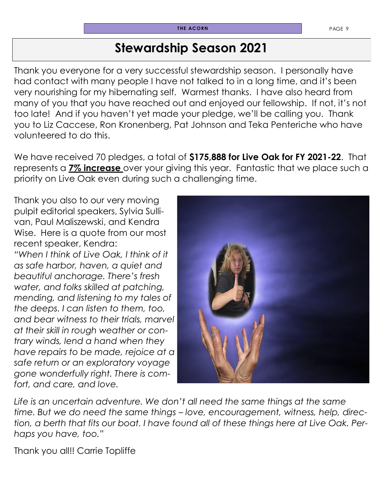### **Stewardship Season 2021**

Thank you everyone for a very successful stewardship season. I personally have had contact with many people I have not talked to in a long time, and it's been very nourishing for my hibernating self. Warmest thanks. I have also heard from many of you that you have reached out and enjoyed our fellowship. If not, it's not too late! And if you haven't yet made your pledge, we'll be calling you. Thank you to Liz Caccese, Ron Kronenberg, Pat Johnson and Teka Penteriche who have volunteered to do this.

We have received 70 pledges, a total of **\$175,888 for Live Oak for FY 2021-22**. That represents a **7% increase** over your giving this year. Fantastic that we place such a priority on Live Oak even during such a challenging time.

Thank you also to our very moving pulpit editorial speakers, Sylvia Sullivan, Paul Maliszewski, and Kendra Wise. Here is a quote from our most recent speaker, Kendra: *"When I think of Live Oak, I think of it as safe harbor, haven, a quiet and beautiful anchorage. There's fresh water, and folks skilled at patching, mending, and listening to my tales of the deeps. I can listen to them, too, and bear witness to their trials, marvel at their skill in rough weather or contrary winds, lend a hand when they have repairs to be made, rejoice at a safe return or an exploratory voyage gone wonderfully right. There is comfort, and care, and love.*



Life is an uncertain adventure. We don't all need the same things at the same *time. But we do need the same things – love, encouragement, witness, help, direction, a berth that fits our boat. I have found all of these things here at Live Oak. Perhaps you have, too."* 

Thank you all!! Carrie Topliffe